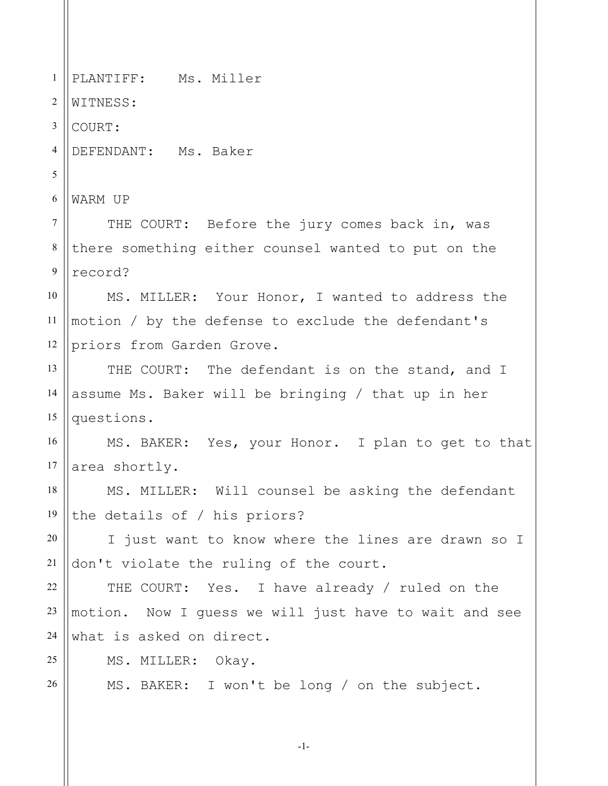1 2 3 4 5 6 7 8 9 10 11 12 13 14 15 16 17 18 19 20 21 22 23 24 25 26 PLANTIFF: Ms. Miller WITNESS: COURT: DEFENDANT: Ms. Baker WARM UP THE COURT: Before the jury comes back in, was there something either counsel wanted to put on the record? MS. MILLER: Your Honor, I wanted to address the motion / by the defense to exclude the defendant's priors from Garden Grove. THE COURT: The defendant is on the stand, and I assume Ms. Baker will be bringing / that up in her questions. MS. BAKER: Yes, your Honor. I plan to get to that area shortly. MS. MILLER: Will counsel be asking the defendant the details of / his priors? I just want to know where the lines are drawn so I don't violate the ruling of the court. THE COURT: Yes. I have already / ruled on the motion. Now I guess we will just have to wait and see what is asked on direct. MS. MILLER: Okay. MS. BAKER: I won't be long / on the subject.

-1-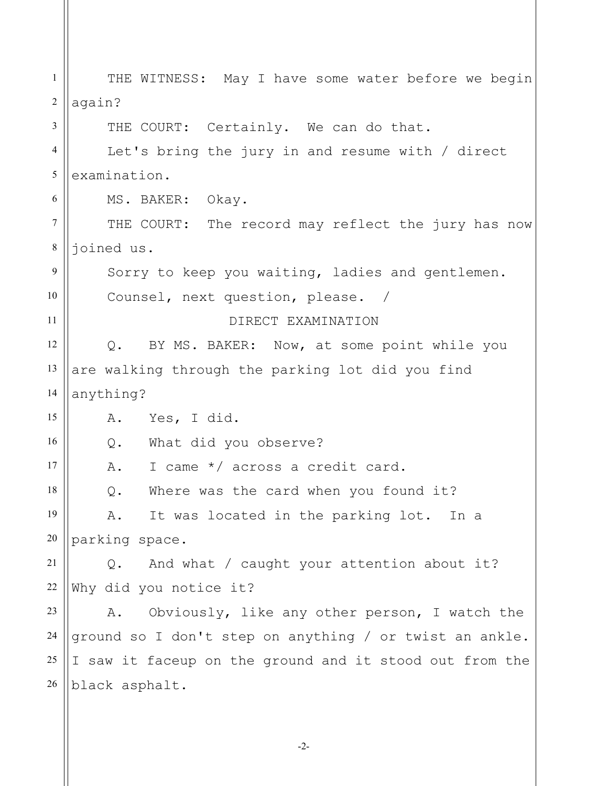1 2 3 4 5 6 7 8 9 10 11 12 13 14 15 16 17 18 19 20 21 22 23 24 25 26 THE WITNESS: May I have some water before we begin again? THE COURT: Certainly. We can do that. Let's bring the jury in and resume with / direct examination. MS. BAKER: Okay. THE COURT: The record may reflect the jury has now joined us. Sorry to keep you waiting, ladies and gentlemen. Counsel, next question, please. / DIRECT EXAMINATION Q. BY MS. BAKER: Now, at some point while you are walking through the parking lot did you find anything? A. Yes, I did. Q. What did you observe? A. I came \*/ across a credit card. Q. Where was the card when you found it? A. It was located in the parking lot. In a parking space. Q. And what / caught your attention about it? Why did you notice it? A. Obviously, like any other person, I watch the ground so I don't step on anything / or twist an ankle. I saw it faceup on the ground and it stood out from the black asphalt.

-2-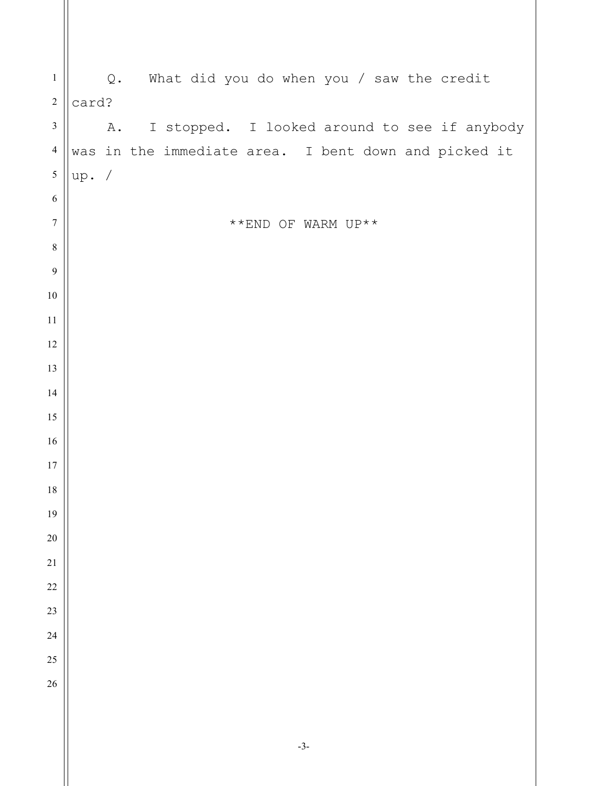| $\mathbf{1}$     | Q. What did you do when you / saw the credit                |  |
|------------------|-------------------------------------------------------------|--|
| $\sqrt{2}$       | card?                                                       |  |
| $\mathfrak{Z}$   | A. I stopped. I looked around to see if anybody             |  |
| $\overline{4}$   | was in the immediate area. I bent down and picked it        |  |
| $\sqrt{5}$       | up. /                                                       |  |
| $\sqrt{6}$       |                                                             |  |
| $\boldsymbol{7}$ | $^{\star\;\star} \textsc{END}$ OF WARM UP $^{\star\;\star}$ |  |
| $\,8\,$          |                                                             |  |
| $\mathbf{9}$     |                                                             |  |
| $10\,$           |                                                             |  |
| $11\,$           |                                                             |  |
| $12\,$           |                                                             |  |
| 13               |                                                             |  |
| 14               |                                                             |  |
| 15               |                                                             |  |
| 16               |                                                             |  |
| $17\,$           |                                                             |  |
| $18\,$           |                                                             |  |
| 19               |                                                             |  |
| $20\,$           |                                                             |  |
| $21\,$           |                                                             |  |
| $22\,$           |                                                             |  |
| $23\,$           |                                                             |  |
| $24\,$           |                                                             |  |
| $25\,$           |                                                             |  |
| $26\,$           |                                                             |  |
|                  |                                                             |  |
|                  |                                                             |  |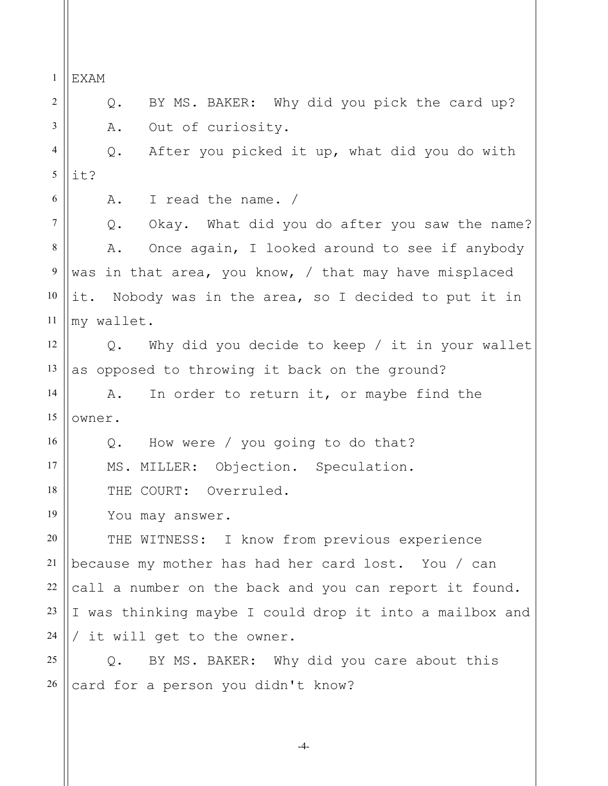1 2 3 4 5 6 7 8 9 10 11 12 13 14 15 16 17 18 19 20 21 22 23 24 25 26 EXAM Q. BY MS. BAKER: Why did you pick the card up? A. Out of curiosity. Q. After you picked it up, what did you do with it? A. I read the name. / Q. Okay. What did you do after you saw the name? A. Once again, I looked around to see if anybody was in that area, you know, / that may have misplaced it. Nobody was in the area, so I decided to put it in my wallet. Q. Why did you decide to keep / it in your wallet as opposed to throwing it back on the ground? A. In order to return it, or maybe find the owner. Q. How were / you going to do that? MS. MILLER: Objection. Speculation. THE COURT: Overruled. You may answer. THE WITNESS: I know from previous experience because my mother has had her card lost. You / can call a number on the back and you can report it found. I was thinking maybe I could drop it into a mailbox and / it will get to the owner. Q. BY MS. BAKER: Why did you care about this card for a person you didn't know?

-4-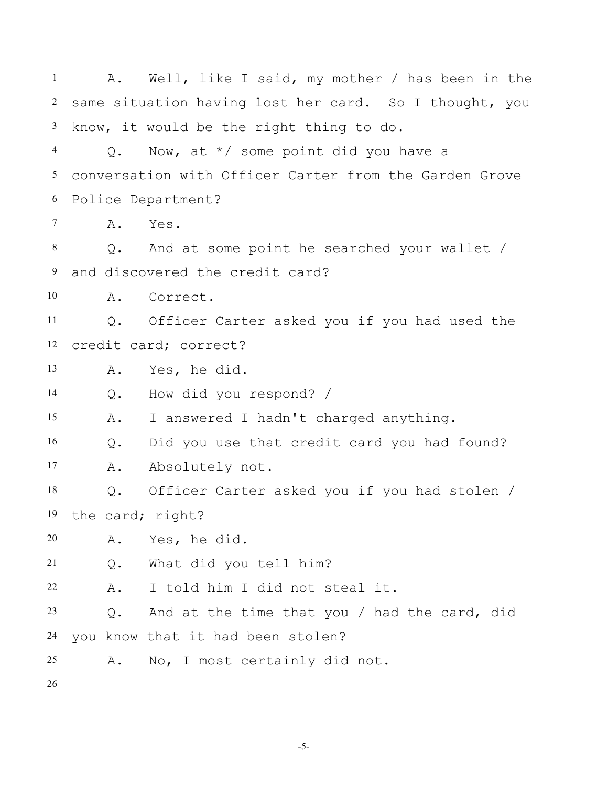1 2 3 4 5 6 7 8 9 10 11 12 13 14 15 16 17 18 19 20 21 22 23 24 25 26 A. Well, like I said, my mother / has been in the same situation having lost her card. So I thought, you know, it would be the right thing to do. Q. Now, at \*/ some point did you have a conversation with Officer Carter from the Garden Grove Police Department? A. Yes. Q. And at some point he searched your wallet / and discovered the credit card? A. Correct. Q. Officer Carter asked you if you had used the credit card; correct? A. Yes, he did. Q. How did you respond? / A. I answered I hadn't charged anything. Q. Did you use that credit card you had found? A. Absolutely not. Q. Officer Carter asked you if you had stolen / the card; right? A. Yes, he did. Q. What did you tell him? A. I told him I did not steal it. Q. And at the time that you / had the card, did you know that it had been stolen? A. No, I most certainly did not.

-5-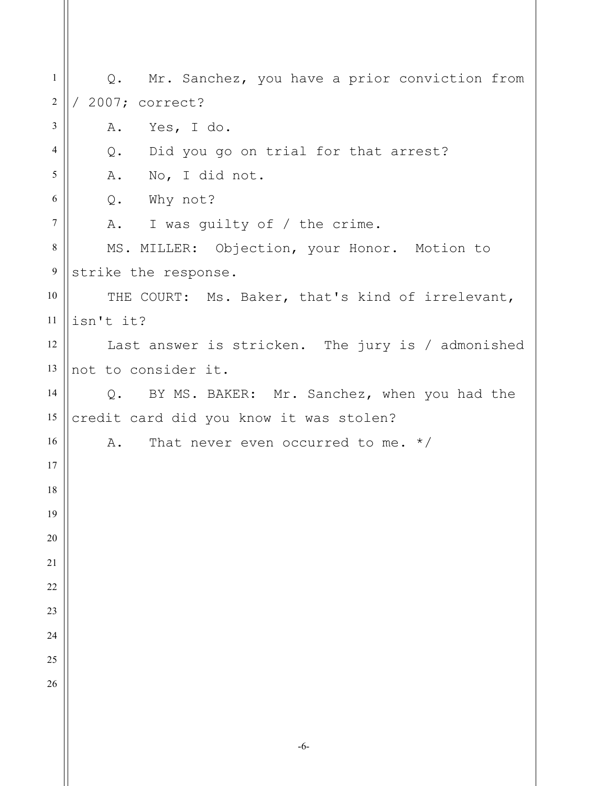Q. Mr. Sanchez, you have a prior conviction from / 2007; correct? A. Yes, I do. Q. Did you go on trial for that arrest? A. No, I did not. Q. Why not? A. I was guilty of / the crime. MS. MILLER: Objection, your Honor. Motion to strike the response. THE COURT: Ms. Baker, that's kind of irrelevant, isn't it? Last answer is stricken. The jury is / admonished not to consider it. Q. BY MS. BAKER: Mr. Sanchez, when you had the credit card did you know it was stolen? A. That never even occurred to me. \*/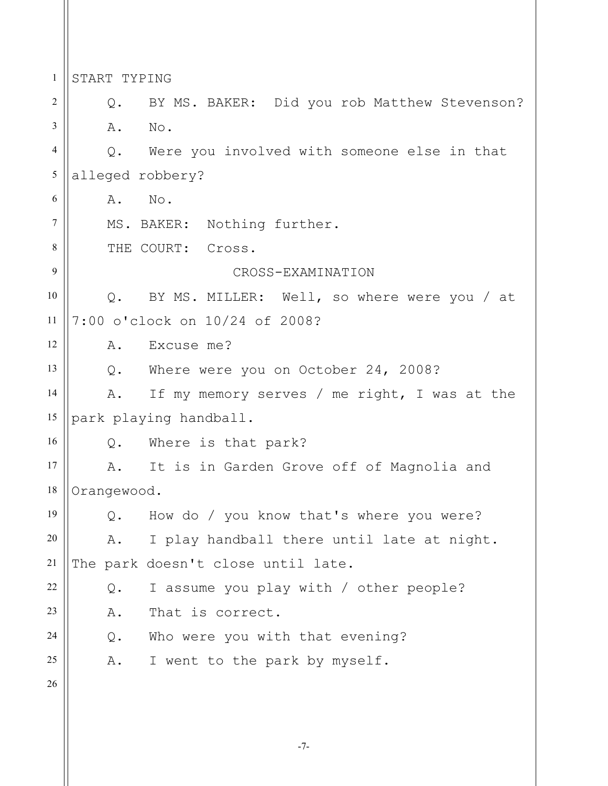1 2 3 4 5 6 7 8 9 10 11 12 13 14 15 16 17 18 19 20 21 22 23 24 25 26 START TYPING Q. BY MS. BAKER: Did you rob Matthew Stevenson? A. No. Q. Were you involved with someone else in that alleged robbery? A. No. MS. BAKER: Nothing further. THE COURT: Cross. CROSS-EXAMINATION Q. BY MS. MILLER: Well, so where were you / at 7:00 o'clock on 10/24 of 2008? A. Excuse me? Q. Where were you on October 24, 2008? A. If my memory serves / me right, I was at the park playing handball. Q. Where is that park? A. It is in Garden Grove off of Magnolia and Orangewood. Q. How do / you know that's where you were? A. I play handball there until late at night. The park doesn't close until late. Q. I assume you play with / other people? A. That is correct. Q. Who were you with that evening? A. I went to the park by myself.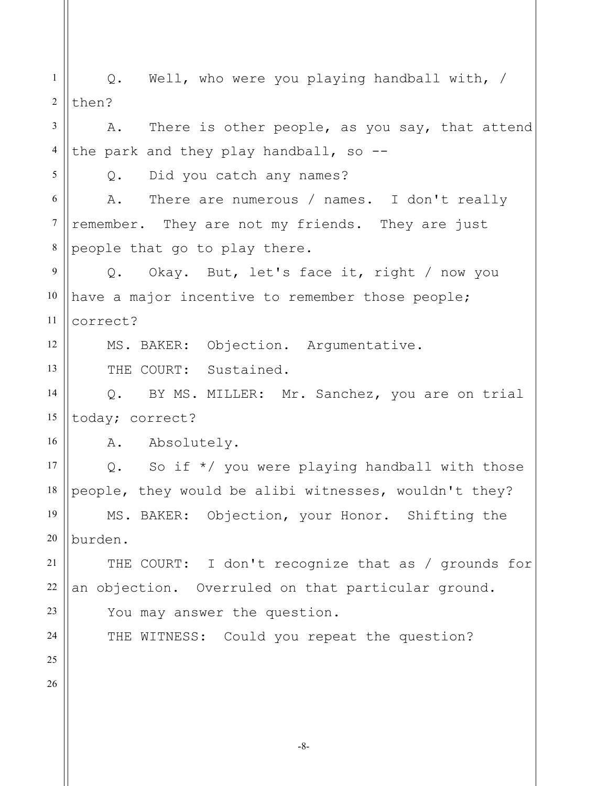1 2 3 4 5 6 7 8 9 10 11 12 13 14 15 16 17 18 19 20 21 22 23 24 25 26 Q. Well, who were you playing handball with, / then? A. There is other people, as you say, that attend the park and they play handball, so --Q. Did you catch any names? A. There are numerous / names. I don't really remember. They are not my friends. They are just people that go to play there. Q. Okay. But, let's face it, right / now you have a major incentive to remember those people; correct? MS. BAKER: Objection. Argumentative. THE COURT: Sustained. Q. BY MS. MILLER: Mr. Sanchez, you are on trial today; correct? A. Absolutely. Q. So if  $*/$  you were playing handball with those people, they would be alibi witnesses, wouldn't they? MS. BAKER: Objection, your Honor. Shifting the burden. THE COURT: I don't recognize that as / grounds for an objection. Overruled on that particular ground. You may answer the question. THE WITNESS: Could you repeat the question?

-8-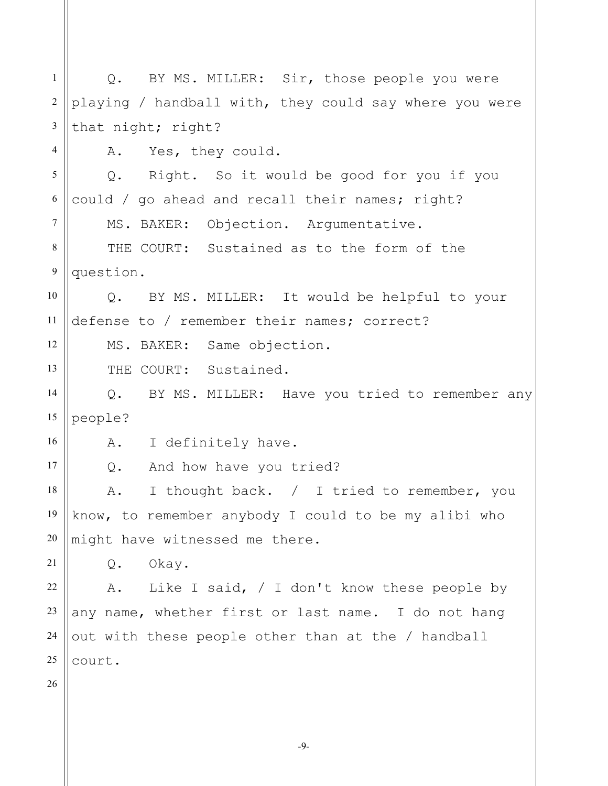| $\mathbf{1}$     | Q. BY MS. MILLER: Sir, those people you were           |
|------------------|--------------------------------------------------------|
| $\sqrt{2}$       | playing / handball with, they could say where you were |
| 3                | that night; right?                                     |
| $\overline{4}$   | A. Yes, they could.                                    |
| 5                | Right. So it would be good for you if you<br>$Q$ .     |
| 6                | could / go ahead and recall their names; right?        |
| $\overline{7}$   | MS. BAKER: Objection. Argumentative.                   |
| $8\,$            | THE COURT: Sustained as to the form of the             |
| $\boldsymbol{9}$ | question.                                              |
| 10               | Q. BY MS. MILLER: It would be helpful to your          |
| 11               | defense to / remember their names; correct?            |
| 12               | MS. BAKER: Same objection.                             |
| 13               | THE COURT: Sustained.                                  |
| 14               | Q. BY MS. MILLER: Have you tried to remember any       |
| 15               | people?                                                |
| 16               | I definitely have.<br>A.                               |
| 17               | And how have you tried?<br>Q.                          |
| 18               | I thought back. / I tried to remember, you<br>Α.       |
| 19               | know, to remember anybody I could to be my alibi who   |
| 20               | might have witnessed me there.                         |
| 21               | Okay.<br>Q.                                            |
| 22               | Like I said, $/$ I don't know these people by<br>Α.    |
| 23               | any name, whether first or last name. I do not hang    |
| 24               | out with these people other than at the / handball     |
| 25               | court.                                                 |
| 26               |                                                        |
|                  |                                                        |
|                  |                                                        |

-9-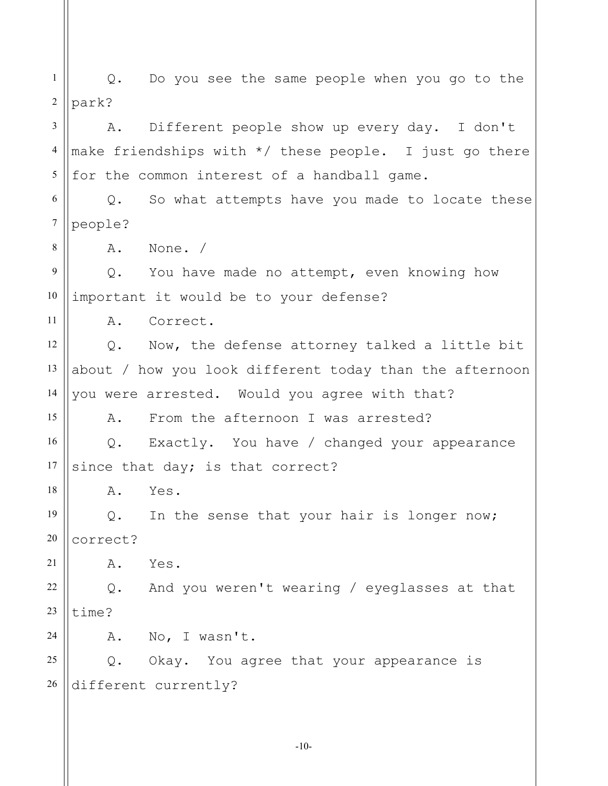1 2 3 4 5 6 7 8 9 10 11 12 13 14 15 16 17 18 19 20 21 22 23 24 25 26 Q. Do you see the same people when you go to the park? A. Different people show up every day. I don't make friendships with \*/ these people. I just go there for the common interest of a handball game. Q. So what attempts have you made to locate these people? A. None. / Q. You have made no attempt, even knowing how important it would be to your defense? A. Correct. Q. Now, the defense attorney talked a little bit about / how you look different today than the afternoon you were arrested. Would you agree with that? A. From the afternoon I was arrested? Q. Exactly. You have / changed your appearance since that day; is that correct? A. Yes. Q. In the sense that your hair is longer now; correct? A. Yes. Q. And you weren't wearing / eyeglasses at that time? A. No, I wasn't. Q. Okay. You agree that your appearance is different currently?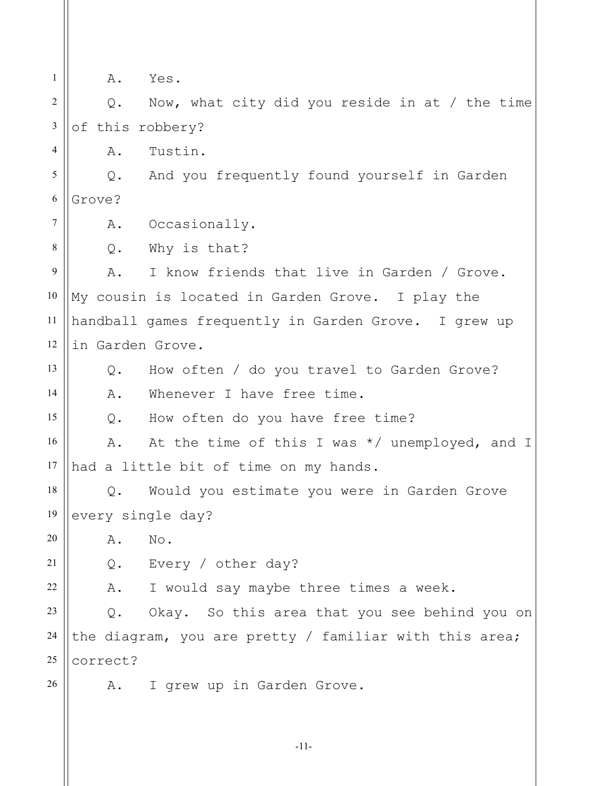1 2 3 4 5 6 7 8 9 10 11 12 13 14 15 16 17 18 19 20 21 22 23 24 25 26 A. Yes. Q. Now, what city did you reside in at / the time of this robbery? A. Tustin. Q. And you frequently found yourself in Garden Grove? A. Occasionally. Q. Why is that? A. I know friends that live in Garden / Grove. My cousin is located in Garden Grove. I play the handball games frequently in Garden Grove. I grew up in Garden Grove. Q. How often / do you travel to Garden Grove? A. Whenever I have free time. Q. How often do you have free time? A. At the time of this I was \*/ unemployed, and I had a little bit of time on my hands. Q. Would you estimate you were in Garden Grove every single day? A. No. Q. Every / other day? A. I would say maybe three times a week. Q. Okay. So this area that you see behind you on the diagram, you are pretty / familiar with this area; correct? A. I grew up in Garden Grove.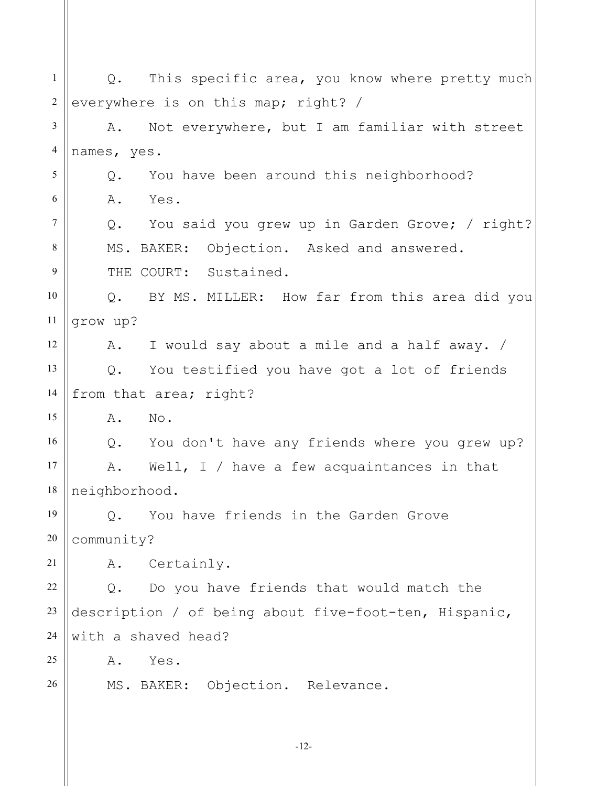-12- 1 2 3 4 5 6 7 8 9 10 11 12 13 14 15 16 17 18 19 20 21 22 23 24 25 26 Q. This specific area, you know where pretty much everywhere is on this map; right? / A. Not everywhere, but I am familiar with street names, yes. Q. You have been around this neighborhood? A. Yes. Q. You said you grew up in Garden Grove; / right? MS. BAKER: Objection. Asked and answered. THE COURT: Sustained. Q. BY MS. MILLER: How far from this area did you grow up? A. I would say about a mile and a half away. / Q. You testified you have got a lot of friends from that area; right? A. No. Q. You don't have any friends where you grew up? A. Well, I / have a few acquaintances in that neighborhood. Q. You have friends in the Garden Grove community? A. Certainly. Q. Do you have friends that would match the description / of being about five-foot-ten, Hispanic, with a shaved head? A. Yes. MS. BAKER: Objection. Relevance.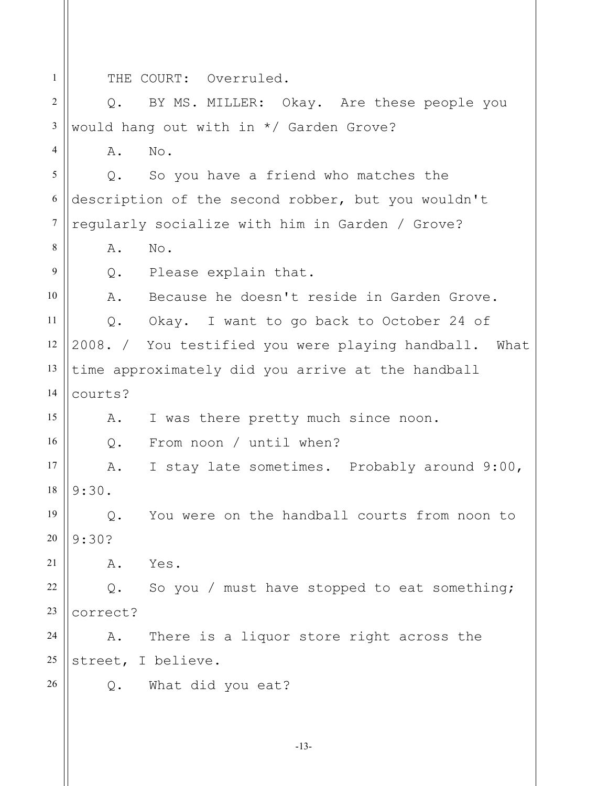1 2 3 4 5 6 7 8 9 10 11 12 13 14 15 16 17 18 19 20 21 22 23 24 25 26 THE COURT: Overruled. Q. BY MS. MILLER: Okay. Are these people you would hang out with in \*/ Garden Grove? A. No. Q. So you have a friend who matches the description of the second robber, but you wouldn't regularly socialize with him in Garden / Grove? A. No. Q. Please explain that. A. Because he doesn't reside in Garden Grove. Q. Okay. I want to go back to October 24 of 2008. / You testified you were playing handball. What time approximately did you arrive at the handball courts? A. I was there pretty much since noon. Q. From noon / until when? A. I stay late sometimes. Probably around 9:00, 9:30. Q. You were on the handball courts from noon to 9:30? A. Yes. Q. So you / must have stopped to eat something; correct? A. There is a liquor store right across the street, I believe. Q. What did you eat?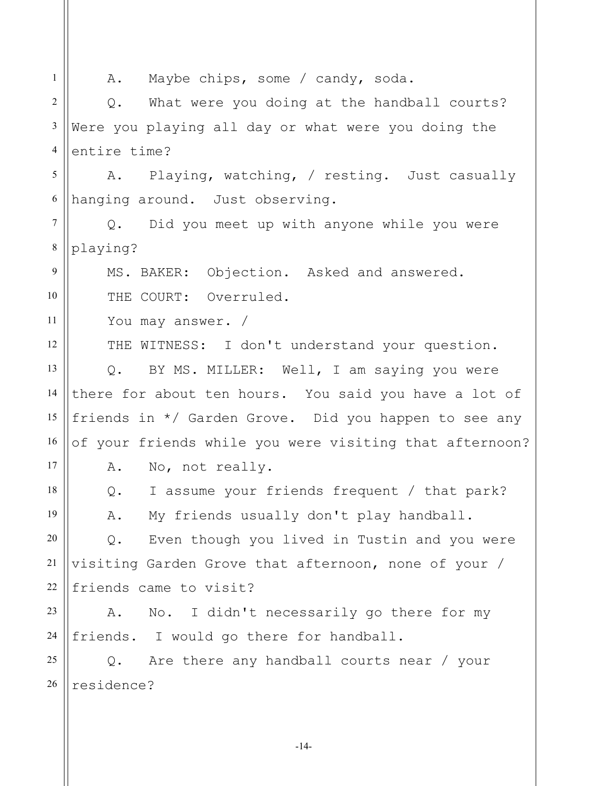1 2 3 4 5 6 7 8 9 10 11 12 13 14 15 16 17 18 19 20 21 22 23 24 25 26 A. Maybe chips, some / candy, soda. Q. What were you doing at the handball courts? Were you playing all day or what were you doing the entire time? A. Playing, watching, / resting. Just casually hanging around. Just observing. Q. Did you meet up with anyone while you were playing? MS. BAKER: Objection. Asked and answered. THE COURT: Overruled. You may answer. / THE WITNESS: I don't understand your question. Q. BY MS. MILLER: Well, I am saying you were there for about ten hours. You said you have a lot of friends in \*/ Garden Grove. Did you happen to see any of your friends while you were visiting that afternoon? A. No, not really. Q. I assume your friends frequent / that park? A. My friends usually don't play handball. Q. Even though you lived in Tustin and you were visiting Garden Grove that afternoon, none of your / friends came to visit? A. No. I didn't necessarily go there for my friends. I would go there for handball. Q. Are there any handball courts near / your residence?

-14-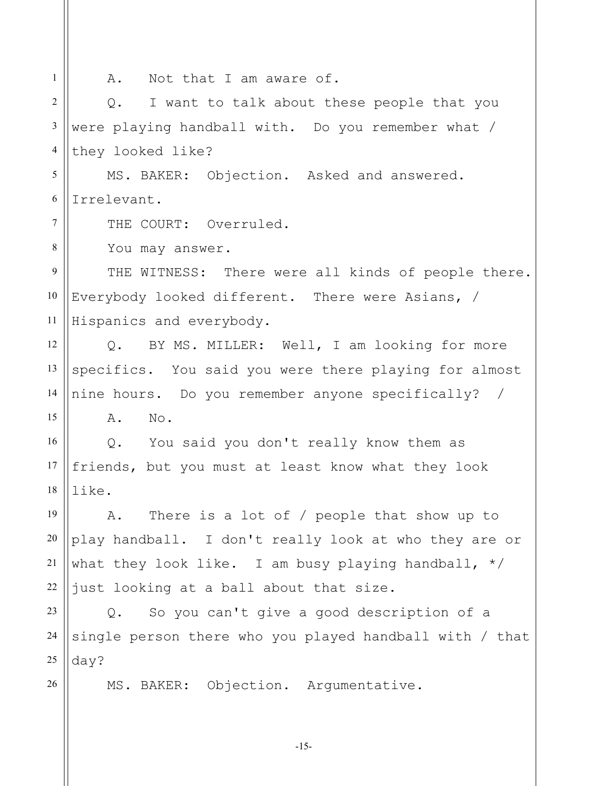| $\mathbf{1}$    | A. Not that I am aware of.                                 |
|-----------------|------------------------------------------------------------|
| $\overline{2}$  | I want to talk about these people that you<br>$Q$ .        |
| $\mathfrak{Z}$  | were playing handball with. Do you remember what /         |
| $\overline{4}$  | they looked like?                                          |
| 5               | MS. BAKER: Objection. Asked and answered.                  |
| 6               | Irrelevant.                                                |
| $7\phantom{.0}$ | THE COURT: Overruled.                                      |
| 8               | You may answer.                                            |
| 9               | THE WITNESS: There were all kinds of people there.         |
| $10\,$          | Everybody looked different. There were Asians, /           |
| 11              | Hispanics and everybody.                                   |
| 12              | Q. BY MS. MILLER: Well, I am looking for more              |
| 13              | specifics. You said you were there playing for almost      |
| 14              | nine hours. Do you remember anyone specifically? /         |
| 15              | $\mathbb N\circ$ .<br>Α.                                   |
| 16              | Q. You said you don't really know them as                  |
| 17              | friends, but you must at least know what they look         |
| 18              | like.                                                      |
| 19              | There is a lot of $/$ people that show up to<br>Α.         |
| 20              | play handball. I don't really look at who they are or      |
| 21              | what they look like. I am busy playing handball, $*/$      |
| 22              | just looking at a ball about that size.                    |
| 23              | So you can't give a good description of a<br>$Q_{\bullet}$ |
| 24              | single person there who you played handball with / that    |
| 25              | $day$ ?                                                    |
| 26              | MS. BAKER: Objection. Argumentative.                       |
|                 |                                                            |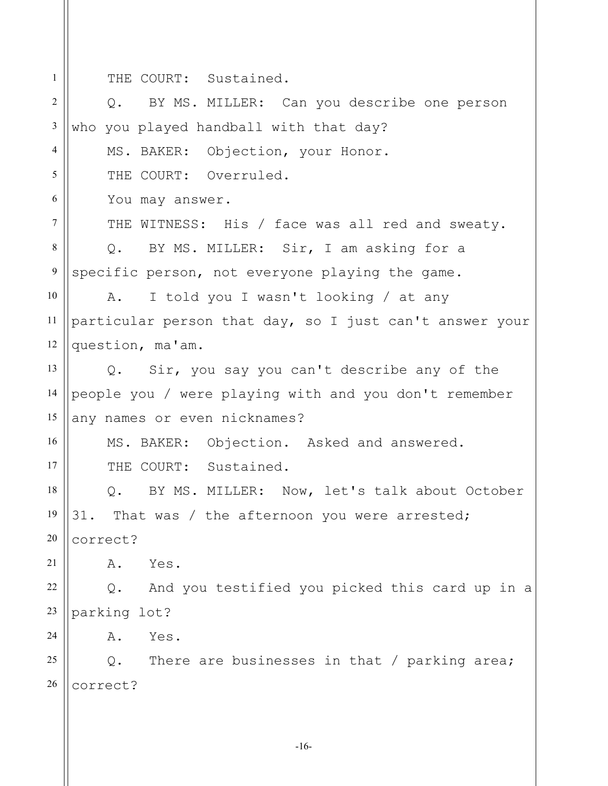1

THE COURT: Sustained.

2 3 4 5 6 7 8 9 10 11 12 13 14 15 16 17 18 19 20 21 22 23 24 25 26 Q. BY MS. MILLER: Can you describe one person who you played handball with that day? MS. BAKER: Objection, your Honor. THE COURT: Overruled. You may answer. THE WITNESS: His / face was all red and sweaty. Q. BY MS. MILLER: Sir, I am asking for a specific person, not everyone playing the game. A. I told you I wasn't looking / at any particular person that day, so I just can't answer your question, ma'am. Q. Sir, you say you can't describe any of the people you / were playing with and you don't remember any names or even nicknames? MS. BAKER: Objection. Asked and answered. THE COURT: Sustained. Q. BY MS. MILLER: Now, let's talk about October 31. That was / the afternoon you were arrested; correct? A. Yes. Q. And you testified you picked this card up in a parking lot? A. Yes. Q. There are businesses in that / parking area; correct?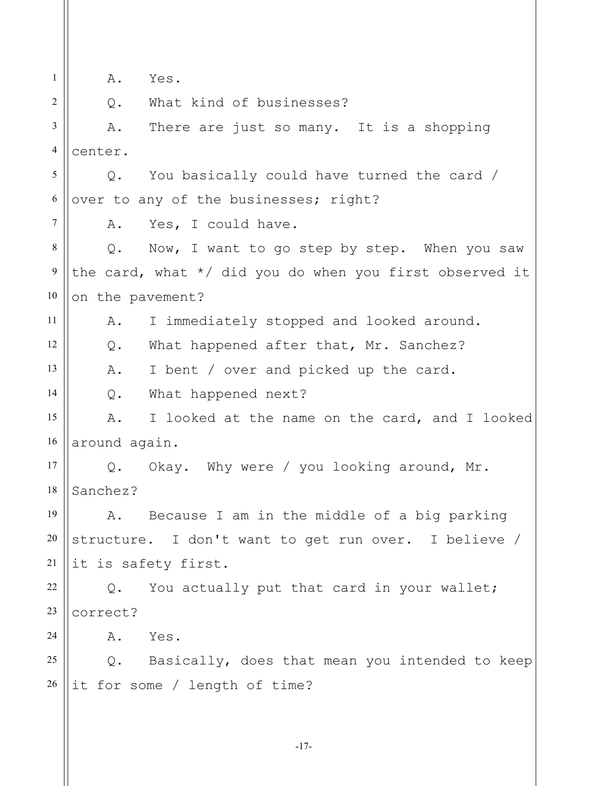1 2 3 4 5 6 7 8 9 10 11 12 13 14 15 16 17 18 19 20 21 22 23 24 25 26 A. Yes. Q. What kind of businesses? A. There are just so many. It is a shopping center. Q. You basically could have turned the card / over to any of the businesses; right? A. Yes, I could have. Q. Now, I want to go step by step. When you saw the card, what \*/ did you do when you first observed it on the pavement? A. I immediately stopped and looked around. Q. What happened after that, Mr. Sanchez? A. I bent / over and picked up the card. Q. What happened next? A. I looked at the name on the card, and I looked around again. Q. Okay. Why were / you looking around, Mr. Sanchez? A. Because I am in the middle of a big parking structure. I don't want to get run over. I believe / it is safety first. Q. You actually put that card in your wallet; correct? A. Yes. Q. Basically, does that mean you intended to keep it for some / length of time?

-17-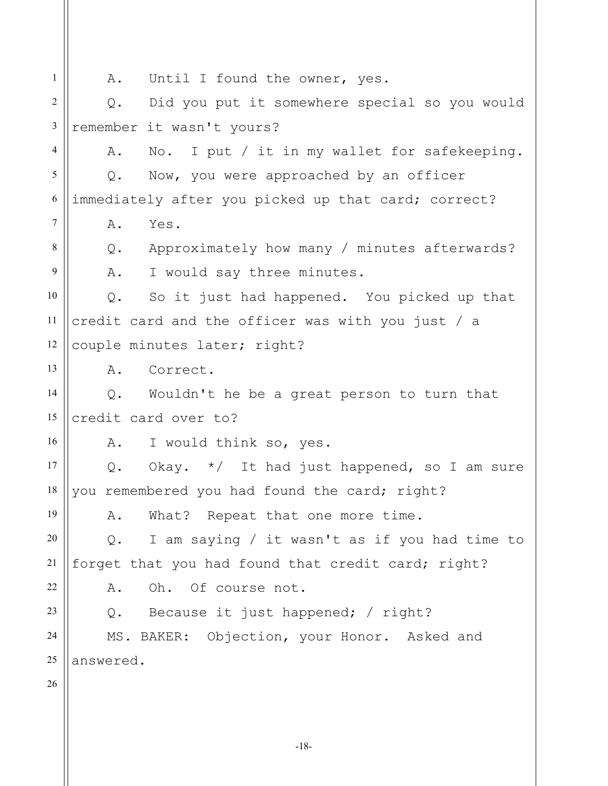1 2 3 4 5 6 7 8 9 10 11 12 13 14 15 16 17 18 19 20 21 22 23 24 25 26 A. Until I found the owner, yes. Q. Did you put it somewhere special so you would remember it wasn't yours? A. No. I put / it in my wallet for safekeeping. Q. Now, you were approached by an officer immediately after you picked up that card; correct? A. Yes. Q. Approximately how many / minutes afterwards? A. I would say three minutes. Q. So it just had happened. You picked up that credit card and the officer was with you just / a couple minutes later; right? A. Correct. Q. Wouldn't he be a great person to turn that credit card over to? A. I would think so, yes. Q. Okay. \*/ It had just happened, so I am sure you remembered you had found the card; right? A. What? Repeat that one more time. Q. I am saying / it wasn't as if you had time to forget that you had found that credit card; right? A. Oh. Of course not. Q. Because it just happened; / right? MS. BAKER: Objection, your Honor. Asked and answered.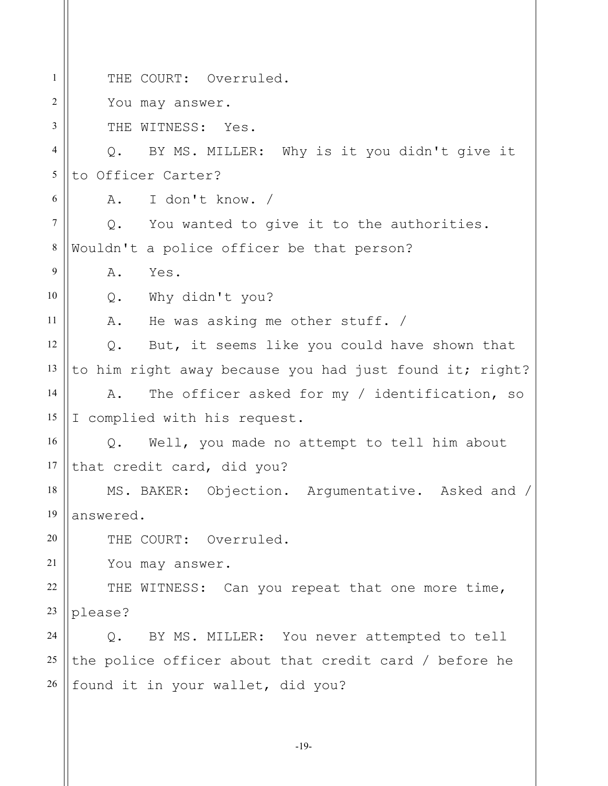1 2 3 4 5 6 7 8 9 10 11 12 13 14 15 16 17 18 19 20 21 22 23 24 25 26 THE COURT: Overruled. You may answer. THE WITNESS: Yes. Q. BY MS. MILLER: Why is it you didn't give it to Officer Carter? A. I don't know. / Q. You wanted to give it to the authorities. Wouldn't a police officer be that person? A. Yes. Q. Why didn't you? A. He was asking me other stuff. / Q. But, it seems like you could have shown that to him right away because you had just found it; right? A. The officer asked for my / identification, so I complied with his request. Q. Well, you made no attempt to tell him about that credit card, did you? MS. BAKER: Objection. Argumentative. Asked and / answered. THE COURT: Overruled. You may answer. THE WITNESS: Can you repeat that one more time, please? Q. BY MS. MILLER: You never attempted to tell the police officer about that credit card / before he found it in your wallet, did you?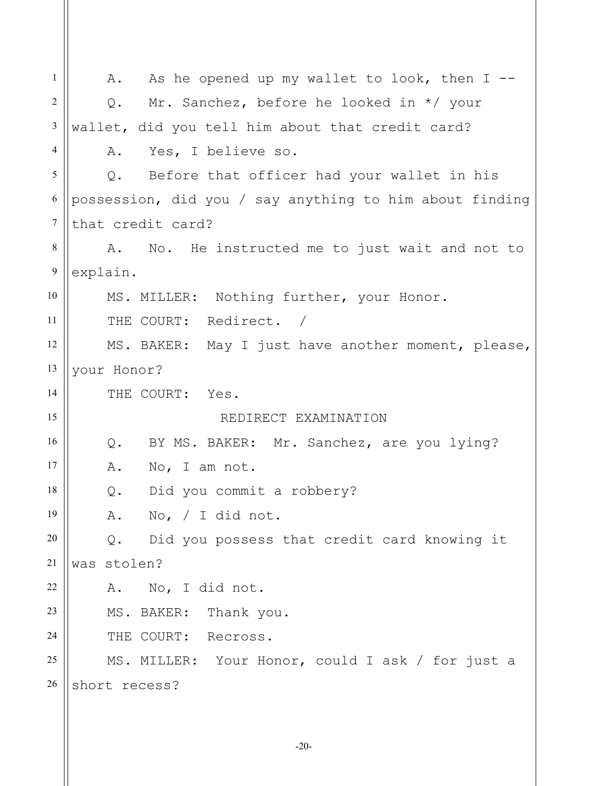| $\mathbf{1}$   | As he opened up my wallet to look, then $I$ --<br>A.    |
|----------------|---------------------------------------------------------|
| $\overline{2}$ | Mr. Sanchez, before he looked in */ your<br>Q.          |
| 3              | wallet, did you tell him about that credit card?        |
| $\overline{4}$ | Yes, I believe so.<br>Α.                                |
| 5              | Q. Before that officer had your wallet in his           |
| 6              | possession, did you / say anything to him about finding |
| $\tau$         | that credit card?                                       |
| 8              | A. No. He instructed me to just wait and not to         |
| 9              | explain.                                                |
| 10             | MS. MILLER: Nothing further, your Honor.                |
| 11             | THE COURT: Redirect. /                                  |
| 12             | MS. BAKER: May I just have another moment, please,      |
| 13             | your Honor?                                             |
| 14             | THE COURT: Yes.                                         |
| 15             | REDIRECT EXAMINATION                                    |
| 16             | Q. BY MS. BAKER: Mr. Sanchez, are you lying?            |
| 17             | A.<br>No, I am not.                                     |
| 18             | Did you commit a robbery?<br>Q.                         |
| 19             | A. No, / I did not.                                     |
| 20             | Did you possess that credit card knowing it<br>$Q$ .    |
| 21             | was stolen?                                             |
| 22             | No, I did not.<br>Α.                                    |
| 23             | MS. BAKER: Thank you.                                   |
| 24             | THE COURT: Recross.                                     |
| 25             | MS. MILLER: Your Honor, could I ask / for just a        |
| 26             | short recess?                                           |
|                |                                                         |